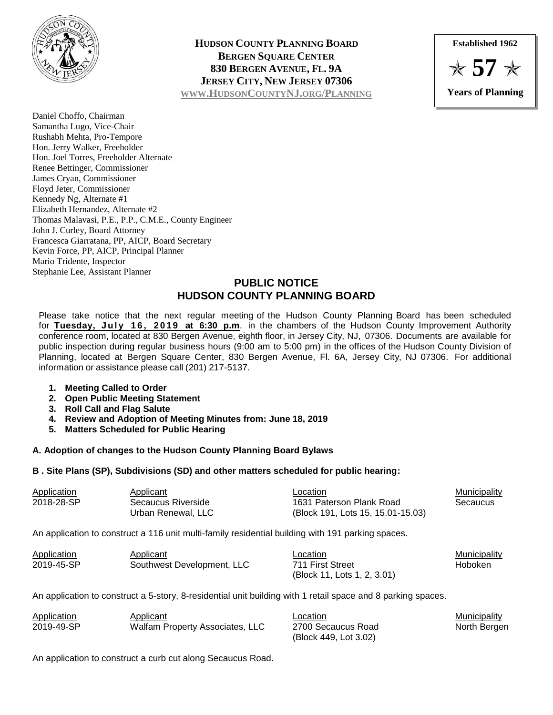

**HUDSON COUNTY PLANNING BOARD BERGEN SQUARE CENTER 830 BERGEN AVENUE, FL. 9A JERSEY CITY, NEW JERSEY 07306 WWW.HUDSONCOUNTYNJ.ORG/P[LANNING](http://www.hudsoncountynj.org/Planning)**

**Established 1962** ✯ **57** ✯ **Years of Planning**

Daniel Choffo, Chairman Samantha Lugo, Vice-Chair Rushabh Mehta, Pro-Tempore Hon. Jerry Walker, Freeholder Hon. Joel Torres, Freeholder Alternate Renee Bettinger, Commissioner James Cryan, Commissioner Floyd Jeter, Commissioner Kennedy Ng, Alternate #1 Elizabeth Hernandez, Alternate #2 Thomas Malavasi, P.E., P.P., C.M.E., County Engineer John J. Curley, Board Attorney Francesca Giarratana, PP, AICP, Board Secretary Kevin Force, PP, AICP, Principal Planner Mario Tridente, Inspector Stephanie Lee, Assistant Planner

## **PUBLIC NOTICE HUDSON COUNTY PLANNING BOARD**

Please take notice that the next regular meeting of the Hudson County Planning Board has been scheduled for Tuesday, July 16, 2019 at 6:30 p.m. in the chambers of the Hudson County Improvement Authority conference room, located at 830 Bergen Avenue, eighth floor, in Jersey City, NJ, 07306. Documents are available for public inspection during regular business hours (9:00 am to 5:00 pm) in the offices of the Hudson County Division of Planning, located at Bergen Square Center, 830 Bergen Avenue, Fl. 6A, Jersey City, NJ 07306. For additional information or assistance please call (201) 217-5137.

- **1. Meeting Called to Order**
- **2. Open Public Meeting Statement**
- **3. Roll Call and Flag Salute**
- **4. Review and Adoption of Meeting Minutes from: June 18, 2019**
- **5. Matters Scheduled for Public Hearing**

## **A. Adoption of changes to the Hudson County Planning Board Bylaws**

## **B . Site Plans (SP), Subdivisions (SD) and other matters scheduled for public hearing:**

| <b>Application</b> | Applicant          | Location                                                                                                            | <b>Municipality</b> |
|--------------------|--------------------|---------------------------------------------------------------------------------------------------------------------|---------------------|
| 2018-28-SP         | Secaucus Riverside | 1631 Paterson Plank Road<br>Secaucus                                                                                |                     |
|                    | Urban Renewal. LLC | (Block 191, Lots 15, 15.01-15.03)                                                                                   |                     |
|                    |                    | . A consecutive and consecutive and A construction of A construction of the MCM and MCM and MCM and the consecutive |                     |

An application to construct a 116 unit multi-family residential building with 191 parking spaces.

| Application | Applicant                  | ∟ocation                    | Municipality |
|-------------|----------------------------|-----------------------------|--------------|
| 2019-45-SP  | Southwest Development, LLC | 711 First Street            | Hoboken      |
|             |                            | (Block 11, Lots 1, 2, 3.01) |              |

An application to construct a 5-story, 8-residential unit building with 1 retail space and 8 parking spaces.

| Application | Applicant                       | ∟ocation              | Municipality |
|-------------|---------------------------------|-----------------------|--------------|
| 2019-49-SP  | Walfam Property Associates, LLC | 2700 Secaucus Road    | North Bergen |
|             |                                 | (Block 449, Lot 3.02) |              |

An application to construct a curb cut along Secaucus Road.